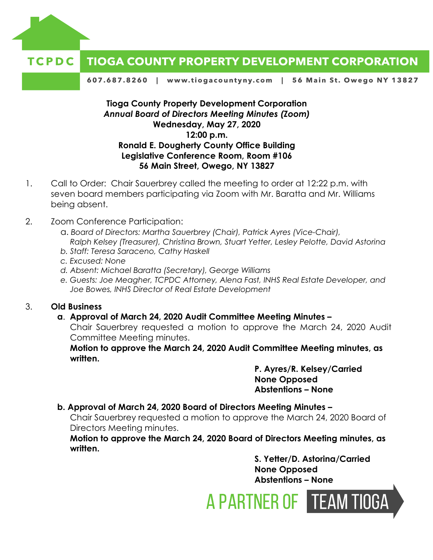

#### **TIOGA COUNTY PROPERTY DEVELOPMENT CORPORATION** TCPDC

607.687.8260 | www.tiogacountyny.com | 56 Main St. Owego NY 13827

**Tioga County Property Development Corporation** *Annual Board of Directors Meeting Minutes (Zoom)* **Wednesday, May 27, 2020 12:00 p.m. Ronald E. Dougherty County Office Building Legislative Conference Room, Room #106 56 Main Street, Owego, NY 13827**

- 1. Call to Order: Chair Sauerbrey called the meeting to order at 12:22 p.m. with seven board members participating via Zoom with Mr. Baratta and Mr. Williams being absent.
- 2. Zoom Conference Participation:
	- a. *Board of Directors: Martha Sauerbrey (Chair), Patrick Ayres (Vice-Chair), Ralph Kelsey (Treasurer), Christina Brown, Stuart Yetter, Lesley Pelotte, David Astorina*
	- *b. Staff: Teresa Saraceno, Cathy Haskell*
	- *c. Excused: None*
	- *d. Absent: Michael Baratta (Secretary), George Williams*
	- *e. Guests: Joe Meagher, TCPDC Attorney, Alena Fast, INHS Real Estate Developer, and Joe Bowes, INHS Director of Real Estate Development*

## 3. **Old Business**

## **a**. **Approval of March 24, 2020 Audit Committee Meeting Minutes –**

Chair Sauerbrey requested a motion to approve the March 24, 2020 Audit Committee Meeting minutes.

**Motion to approve the March 24, 2020 Audit Committee Meeting minutes, as written.** 

> **P. Ayres/R. Kelsey/Carried None Opposed Abstentions – None**

## **b. Approval of March 24, 2020 Board of Directors Meeting Minutes –**

Chair Sauerbrey requested a motion to approve the March 24, 2020 Board of Directors Meeting minutes.

**Motion to approve the March 24, 2020 Board of Directors Meeting minutes, as written.** 

> **S. Yetter/D. Astorina/Carried None Opposed Abstentions – None**

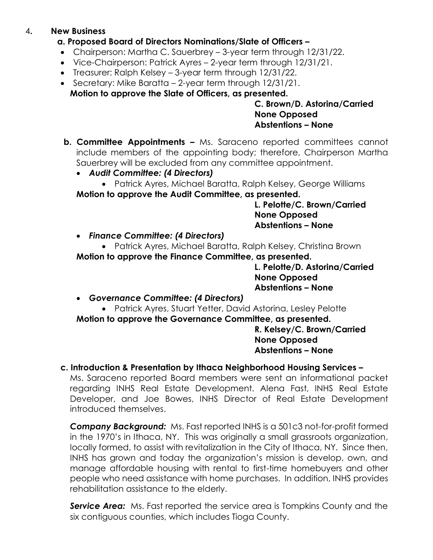## 4**. New Business**

## **a. Proposed Board of Directors Nominations/Slate of Officers –**

- Chairperson: Martha C. Sauerbrey 3-year term through 12/31/22.
- Vice-Chairperson: Patrick Ayres 2-year term through 12/31/21.
- Treasurer: Ralph Kelsey 3-year term through 12/31/22.
- Secretary: Mike Baratta 2-year term through 12/31/21. **Motion to approve the Slate of Officers, as presented.**

**C. Brown/D. Astorina/Carried None Opposed Abstentions – None**

- **b. Committee Appointments –** Ms. Saraceno reported committees cannot include members of the appointing body; therefore, Chairperson Martha Sauerbrey will be excluded from any committee appointment.
	- *Audit Committee: (4 Directors)*
	- Patrick Ayres, Michael Baratta, Ralph Kelsey, George Williams **Motion to approve the Audit Committee, as presented.**

**L. Pelotte/C. Brown/Carried None Opposed Abstentions – None**

- *Finance Committee: (4 Directors)*
- Patrick Ayres, Michael Baratta, Ralph Kelsey, Christina Brown **Motion to approve the Finance Committee, as presented.**

**L. Pelotte/D. Astorina/Carried None Opposed Abstentions – None**

- *Governance Committee: (4 Directors)*
- Patrick Ayres, Stuart Yetter, David Astorina, Lesley Pelotte **Motion to approve the Governance Committee, as presented.**

**R. Kelsey/C. Brown/Carried None Opposed Abstentions – None**

# **c. Introduction & Presentation by Ithaca Neighborhood Housing Services –**

Ms. Saraceno reported Board members were sent an informational packet regarding INHS Real Estate Development. Alena Fast, INHS Real Estate Developer, and Joe Bowes, INHS Director of Real Estate Development introduced themselves.

*Company Background:* Ms. Fast reported INHS is a 501c3 not-for-profit formed in the 1970's in Ithaca, NY. This was originally a small grassroots organization, locally formed, to assist with revitalization in the City of Ithaca, NY. Since then, INHS has grown and today the organization's mission is develop, own, and manage affordable housing with rental to first-time homebuyers and other people who need assistance with home purchases. In addition, INHS provides rehabilitation assistance to the elderly.

**Service Area:** Ms. Fast reported the service area is Tompkins County and the six contiguous counties, which includes Tioga County.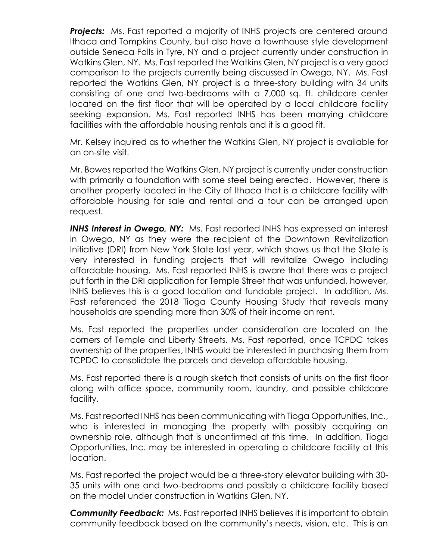**Projects:** Ms. Fast reported a majority of INHS projects are centered around Ithaca and Tompkins County, but also have a townhouse style development outside Seneca Falls in Tyre, NY and a project currently under construction in Watkins Glen, NY. Ms. Fast reported the Watkins Glen, NY project is a very good comparison to the projects currently being discussed in Owego, NY. Ms. Fast reported the Watkins Glen, NY project is a three-story building with 34 units consisting of one and two-bedrooms with a 7,000 sq. ft. childcare center located on the first floor that will be operated by a local childcare facility seeking expansion. Ms. Fast reported INHS has been marrying childcare facilities with the affordable housing rentals and it is a good fit.

Mr. Kelsey inquired as to whether the Watkins Glen, NY project is available for an on-site visit.

Mr. Bowes reported the Watkins Glen, NY project is currently under construction with primarily a foundation with some steel being erected. However, there is another property located in the City of Ithaca that is a childcare facility with affordable housing for sale and rental and a tour can be arranged upon request.

*INHS Interest in Owego, NY:* Ms. Fast reported INHS has expressed an interest in Owego, NY as they were the recipient of the Downtown Revitalization Initiative (DRI) from New York State last year, which shows us that the State is very interested in funding projects that will revitalize Owego including affordable housing. Ms. Fast reported INHS is aware that there was a project put forth in the DRI application for Temple Street that was unfunded, however, INHS believes this is a good location and fundable project. In addition, Ms. Fast referenced the 2018 Tioga County Housing Study that reveals many households are spending more than 30% of their income on rent.

Ms. Fast reported the properties under consideration are located on the corners of Temple and Liberty Streets. Ms. Fast reported, once TCPDC takes ownership of the properties, INHS would be interested in purchasing them from TCPDC to consolidate the parcels and develop affordable housing.

Ms. Fast reported there is a rough sketch that consists of units on the first floor along with office space, community room, laundry, and possible childcare facility.

Ms. Fast reported INHS has been communicating with Tioga Opportunities, Inc., who is interested in managing the property with possibly acquiring an ownership role, although that is unconfirmed at this time. In addition, Tioga Opportunities, Inc. may be interested in operating a childcare facility at this location.

Ms. Fast reported the project would be a three-story elevator building with 30- 35 units with one and two-bedrooms and possibly a childcare facility based on the model under construction in Watkins Glen, NY.

*Community Feedback:* Ms. Fast reported INHS believes it is important to obtain community feedback based on the community's needs, vision, etc. This is an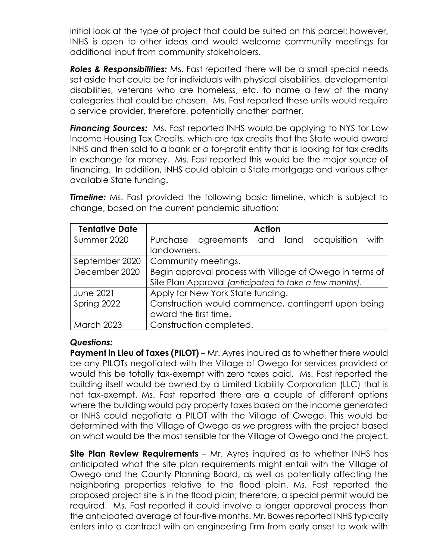initial look at the type of project that could be suited on this parcel; however, INHS is open to other ideas and would welcome community meetings for additional input from community stakeholders.

*Roles & Responsibilities:* Ms. Fast reported there will be a small special needs set aside that could be for individuals with physical disabilities, developmental disabilities, veterans who are homeless, etc. to name a few of the many categories that could be chosen. Ms. Fast reported these units would require a service provider, therefore, potentially another partner.

**Financing Sources:** Ms. Fast reported INHS would be applying to NYS for Low Income Housing Tax Credits, which are tax credits that the State would award INHS and then sold to a bank or a for-profit entity that is looking for tax credits in exchange for money. Ms. Fast reported this would be the major source of financing. In addition, INHS could obtain a State mortgage and various other available State funding.

| <b>Tentative Date</b> | <b>Action</b>                                            |
|-----------------------|----------------------------------------------------------|
| Summer 2020           | Purchase agreements and land acquisition<br>with         |
|                       | landowners.                                              |
| September 2020        | Community meetings.                                      |
| December 2020         | Begin approval process with Village of Owego in terms of |
|                       | Site Plan Approval (anticipated to take a few months).   |
| <b>June 2021</b>      | Apply for New York State funding.                        |
| Spring 2022           | Construction would commence, contingent upon being       |
|                       | award the first time.                                    |
| <b>March 2023</b>     | Construction completed.                                  |

**Timeline:** Ms. Fast provided the following basic timeline, which is subject to change, based on the current pandemic situation:

## *Questions:*

**Payment in Lieu of Taxes (PILOT)** – Mr. Ayres inquired as to whether there would be any PILOTs negotiated with the Village of Owego for services provided or would this be totally tax-exempt with zero taxes paid. Ms. Fast reported the building itself would be owned by a Limited Liability Corporation (LLC) that is not tax-exempt. Ms. Fast reported there are a couple of different options where the building would pay property taxes based on the income generated or INHS could negotiate a PILOT with the Village of Owego. This would be determined with the Village of Owego as we progress with the project based on what would be the most sensible for the Village of Owego and the project.

**Site Plan Review Requirements** – Mr. Ayres inquired as to whether INHS has anticipated what the site plan requirements might entail with the Village of Owego and the County Planning Board, as well as potentially affecting the neighboring properties relative to the flood plain. Ms. Fast reported the proposed project site is in the flood plain; therefore, a special permit would be required. Ms. Fast reported it could involve a longer approval process than the anticipated average of four-five months. Mr. Bowes reported INHS typically enters into a contract with an engineering firm from early onset to work with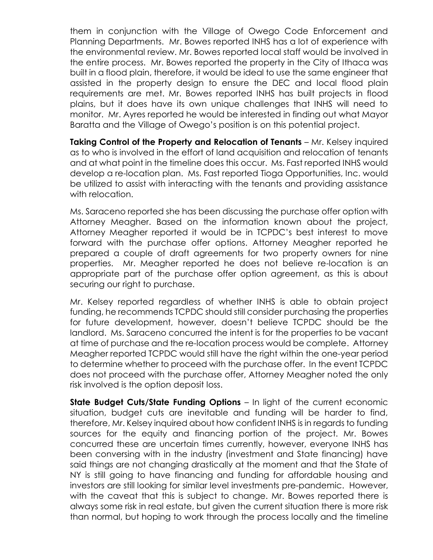them in conjunction with the Village of Owego Code Enforcement and Planning Departments. Mr. Bowes reported INHS has a lot of experience with the environmental review. Mr. Bowes reported local staff would be involved in the entire process. Mr. Bowes reported the property in the City of Ithaca was built in a flood plain, therefore, it would be ideal to use the same engineer that assisted in the property design to ensure the DEC and local flood plain requirements are met. Mr. Bowes reported INHS has built projects in flood plains, but it does have its own unique challenges that INHS will need to monitor. Mr. Ayres reported he would be interested in finding out what Mayor Baratta and the Village of Owego's position is on this potential project.

**Taking Control of the Property and Relocation of Tenants** – Mr. Kelsey inquired as to who is involved in the effort of land acquisition and relocation of tenants and at what point in the timeline does this occur. Ms. Fast reported INHS would develop a re-location plan. Ms. Fast reported Tioga Opportunities, Inc. would be utilized to assist with interacting with the tenants and providing assistance with relocation.

Ms. Saraceno reported she has been discussing the purchase offer option with Attorney Meagher. Based on the information known about the project, Attorney Meagher reported it would be in TCPDC's best interest to move forward with the purchase offer options. Attorney Meagher reported he prepared a couple of draft agreements for two property owners for nine properties. Mr. Meagher reported he does not believe re-location is an appropriate part of the purchase offer option agreement, as this is about securing our right to purchase.

Mr. Kelsey reported regardless of whether INHS is able to obtain project funding, he recommends TCPDC should still consider purchasing the properties for future development, however, doesn't believe TCPDC should be the landlord. Ms. Saraceno concurred the intent is for the properties to be vacant at time of purchase and the re-location process would be complete. Attorney Meagher reported TCPDC would still have the right within the one-year period to determine whether to proceed with the purchase offer. In the event TCPDC does not proceed with the purchase offer, Attorney Meagher noted the only risk involved is the option deposit loss.

**State Budget Cuts/State Funding Options** – In light of the current economic situation, budget cuts are inevitable and funding will be harder to find, therefore, Mr. Kelsey inquired about how confident INHS is in regards to funding sources for the equity and financing portion of the project. Mr. Bowes concurred these are uncertain times currently, however, everyone INHS has been conversing with in the industry (investment and State financing) have said things are not changing drastically at the moment and that the State of NY is still going to have financing and funding for affordable housing and investors are still looking for similar level investments pre-pandemic. However, with the caveat that this is subject to change. Mr. Bowes reported there is always some risk in real estate, but given the current situation there is more risk than normal, but hoping to work through the process locally and the timeline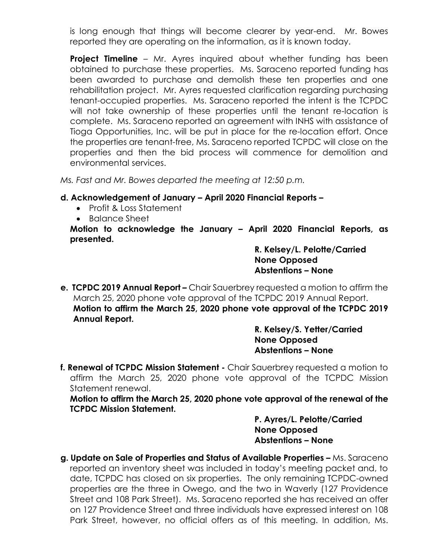is long enough that things will become clearer by year-end. Mr. Bowes reported they are operating on the information, as it is known today.

**Project Timeline** – Mr. Ayres inquired about whether funding has been obtained to purchase these properties. Ms. Saraceno reported funding has been awarded to purchase and demolish these ten properties and one rehabilitation project. Mr. Ayres requested clarification regarding purchasing tenant-occupied properties. Ms. Saraceno reported the intent is the TCPDC will not take ownership of these properties until the tenant re-location is complete. Ms. Saraceno reported an agreement with INHS with assistance of Tioga Opportunities, Inc. will be put in place for the re-location effort. Once the properties are tenant-free, Ms. Saraceno reported TCPDC will close on the properties and then the bid process will commence for demolition and environmental services.

*Ms. Fast and Mr. Bowes departed the meeting at 12:50 p.m.* 

## **d. Acknowledgement of January – April 2020 Financial Reports –**

- Profit & Loss Statement
- Balance Sheet

**Motion to acknowledge the January – April 2020 Financial Reports, as presented.** 

> **R. Kelsey/L. Pelotte/Carried None Opposed Abstentions – None**

**e. TCPDC 2019 Annual Report –** Chair Sauerbrey requested a motion to affirm the March 25, 2020 phone vote approval of the TCPDC 2019 Annual Report. **Motion to affirm the March 25, 2020 phone vote approval of the TCPDC 2019 Annual Report.** 

**R. Kelsey/S. Yetter/Carried None Opposed Abstentions – None**

**f. Renewal of TCPDC Mission Statement -** Chair Sauerbrey requested a motion to affirm the March 25, 2020 phone vote approval of the TCPDC Mission Statement renewal.

**Motion to affirm the March 25, 2020 phone vote approval of the renewal of the TCPDC Mission Statement.** 

> **P. Ayres/L. Pelotte/Carried None Opposed Abstentions – None**

**g. Update on Sale of Properties and Status of Available Properties –** Ms. Saraceno reported an inventory sheet was included in today's meeting packet and, to date, TCPDC has closed on six properties. The only remaining TCPDC-owned properties are the three in Owego, and the two in Waverly (127 Providence Street and 108 Park Street). Ms. Saraceno reported she has received an offer on 127 Providence Street and three individuals have expressed interest on 108 Park Street, however, no official offers as of this meeting. In addition, Ms.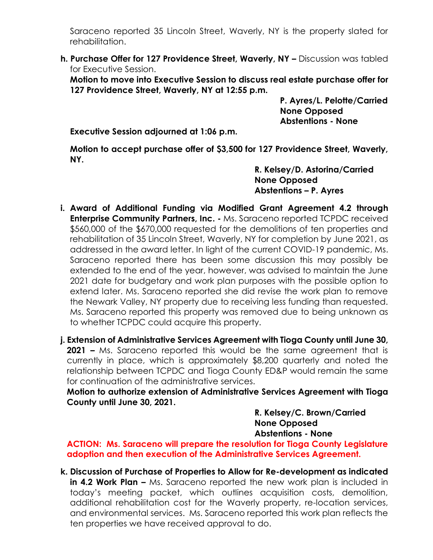Saraceno reported 35 Lincoln Street, Waverly, NY is the property slated for rehabilitation.

**h. Purchase Offer for 127 Providence Street, Waverly, NY –** Discussion was tabled for Executive Session.

**Motion to move into Executive Session to discuss real estate purchase offer for 127 Providence Street, Waverly, NY at 12:55 p.m.** 

> **P. Ayres/L. Pelotte/Carried None Opposed Abstentions - None**

**Executive Session adjourned at 1:06 p.m.** 

**Motion to accept purchase offer of \$3,500 for 127 Providence Street, Waverly, NY.** 

> **R. Kelsey/D. Astorina/Carried None Opposed Abstentions – P. Ayres**

**i. Award of Additional Funding via Modified Grant Agreement 4.2 through Enterprise Community Partners, Inc. -** Ms. Saraceno reported TCPDC received \$560,000 of the \$670,000 requested for the demolitions of ten properties and rehabilitation of 35 Lincoln Street, Waverly, NY for completion by June 2021, as addressed in the award letter. In light of the current COVID-19 pandemic, Ms. Saraceno reported there has been some discussion this may possibly be extended to the end of the year, however, was advised to maintain the June 2021 date for budgetary and work plan purposes with the possible option to extend later. Ms. Saraceno reported she did revise the work plan to remove the Newark Valley, NY property due to receiving less funding than requested. Ms. Saraceno reported this property was removed due to being unknown as to whether TCPDC could acquire this property.

**j. Extension of Administrative Services Agreement with Tioga County until June 30, 2021 –** Ms. Saraceno reported this would be the same agreement that is currently in place, which is approximately \$8,200 quarterly and noted the relationship between TCPDC and Tioga County ED&P would remain the same for continuation of the administrative services.

**Motion to authorize extension of Administrative Services Agreement with Tioga County until June 30, 2021.** 

> **R. Kelsey/C. Brown/Carried None Opposed Abstentions - None**

**ACTION: Ms. Saraceno will prepare the resolution for Tioga County Legislature adoption and then execution of the Administrative Services Agreement.** 

**k. Discussion of Purchase of Properties to Allow for Re-development as indicated in 4.2 Work Plan –** Ms. Saraceno reported the new work plan is included in today's meeting packet, which outlines acquisition costs, demolition, additional rehabilitation cost for the Waverly property, re-location services, and environmental services. Ms. Saraceno reported this work plan reflects the ten properties we have received approval to do.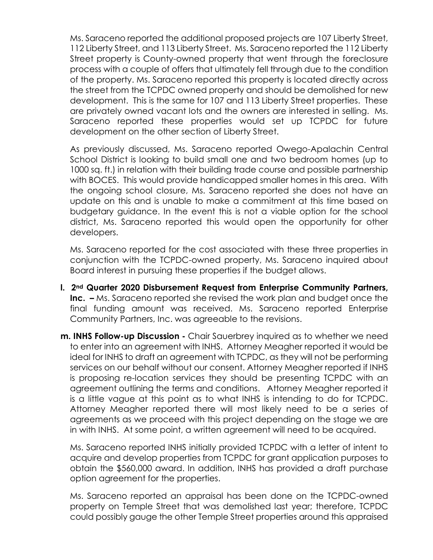Ms. Saraceno reported the additional proposed projects are 107 Liberty Street, 112 Liberty Street, and 113 Liberty Street. Ms. Saraceno reported the 112 Liberty Street property is County-owned property that went through the foreclosure process with a couple of offers that ultimately fell through due to the condition of the property. Ms. Saraceno reported this property is located directly across the street from the TCPDC owned property and should be demolished for new development. This is the same for 107 and 113 Liberty Street properties. These are privately owned vacant lots and the owners are interested in selling. Ms. Saraceno reported these properties would set up TCPDC for future development on the other section of Liberty Street.

As previously discussed, Ms. Saraceno reported Owego-Apalachin Central School District is looking to build small one and two bedroom homes (up to 1000 sq. ft.) in relation with their building trade course and possible partnership with BOCES. This would provide handicapped smaller homes in this area. With the ongoing school closure, Ms. Saraceno reported she does not have an update on this and is unable to make a commitment at this time based on budgetary guidance. In the event this is not a viable option for the school district, Ms. Saraceno reported this would open the opportunity for other developers.

Ms. Saraceno reported for the cost associated with these three properties in conjunction with the TCPDC-owned property, Ms. Saraceno inquired about Board interest in pursuing these properties if the budget allows.

- **l. 2nd Quarter 2020 Disbursement Request from Enterprise Community Partners, Inc.**  $-$  Ms. Saraceno reported she revised the work plan and budget once the final funding amount was received. Ms. Saraceno reported Enterprise Community Partners, Inc. was agreeable to the revisions.
- **m. INHS Follow-up Discussion -** Chair Sauerbrey inquired as to whether we need to enter into an agreement with INHS. Attorney Meagher reported it would be ideal for INHS to draft an agreement with TCPDC, as they will not be performing services on our behalf without our consent. Attorney Meagher reported if INHS is proposing re-location services they should be presenting TCPDC with an agreement outlining the terms and conditions. Attorney Meagher reported it is a little vague at this point as to what INHS is intending to do for TCPDC. Attorney Meagher reported there will most likely need to be a series of agreements as we proceed with this project depending on the stage we are in with INHS. At some point, a written agreement will need to be acquired.

Ms. Saraceno reported INHS initially provided TCPDC with a letter of intent to acquire and develop properties from TCPDC for grant application purposes to obtain the \$560,000 award. In addition, INHS has provided a draft purchase option agreement for the properties.

Ms. Saraceno reported an appraisal has been done on the TCPDC-owned property on Temple Street that was demolished last year; therefore, TCPDC could possibly gauge the other Temple Street properties around this appraised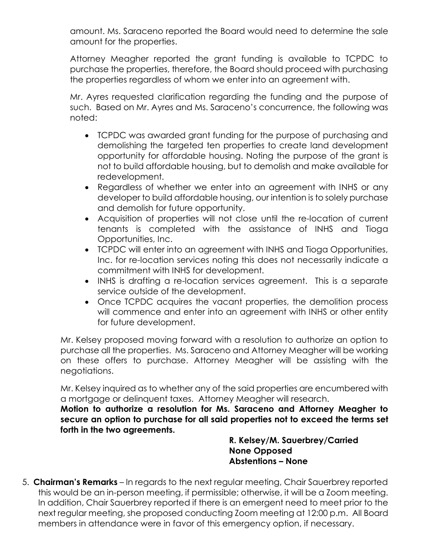amount. Ms. Saraceno reported the Board would need to determine the sale amount for the properties.

Attorney Meagher reported the grant funding is available to TCPDC to purchase the properties, therefore, the Board should proceed with purchasing the properties regardless of whom we enter into an agreement with.

Mr. Ayres requested clarification regarding the funding and the purpose of such. Based on Mr. Ayres and Ms. Saraceno's concurrence, the following was noted:

- TCPDC was awarded grant funding for the purpose of purchasing and demolishing the targeted ten properties to create land development opportunity for affordable housing. Noting the purpose of the grant is not to build affordable housing, but to demolish and make available for redevelopment.
- Regardless of whether we enter into an agreement with INHS or any developer to build affordable housing, our intention is to solely purchase and demolish for future opportunity.
- Acquisition of properties will not close until the re-location of current tenants is completed with the assistance of INHS and Tioga Opportunities, Inc.
- TCPDC will enter into an agreement with INHS and Tioga Opportunities, Inc. for re-location services noting this does not necessarily indicate a commitment with INHS for development.
- INHS is drafting a re-location services agreement. This is a separate service outside of the development.
- Once TCPDC acquires the vacant properties, the demolition process will commence and enter into an agreement with INHS or other entity for future development.

Mr. Kelsey proposed moving forward with a resolution to authorize an option to purchase all the properties. Ms. Saraceno and Attorney Meagher will be working on these offers to purchase. Attorney Meagher will be assisting with the negotiations.

Mr. Kelsey inquired as to whether any of the said properties are encumbered with a mortgage or delinquent taxes. Attorney Meagher will research.

**Motion to authorize a resolution for Ms. Saraceno and Attorney Meagher to secure an option to purchase for all said properties not to exceed the terms set forth in the two agreements.** 

> **R. Kelsey/M. Sauerbrey/Carried None Opposed Abstentions – None**

5. **Chairman's Remarks** – In regards to the next regular meeting, Chair Sauerbrey reported this would be an in-person meeting, if permissible; otherwise, it will be a Zoom meeting. In addition, Chair Sauerbrey reported if there is an emergent need to meet prior to the next regular meeting, she proposed conducting Zoom meeting at 12:00 p.m. All Board members in attendance were in favor of this emergency option, if necessary.